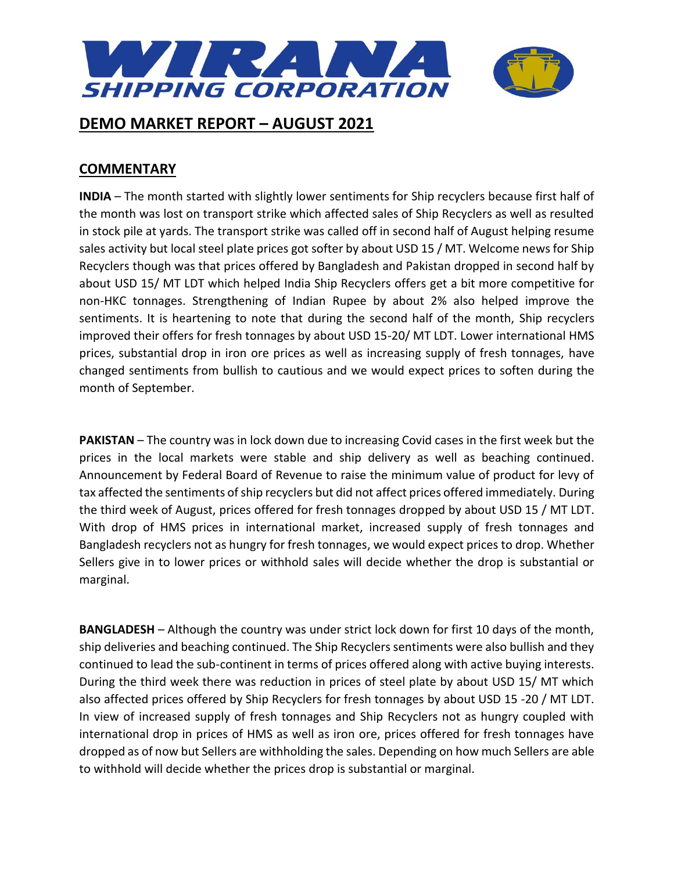

### **COMMENTARY**

**INDIA** – The month started with slightly lower sentiments for Ship recyclers because first half of the month was lost on transport strike which affected sales of Ship Recyclers as well as resulted in stock pile at yards. The transport strike was called off in second half of August helping resume sales activity but local steel plate prices got softer by about USD 15 / MT. Welcome news for Ship Recyclers though was that prices offered by Bangladesh and Pakistan dropped in second half by about USD 15/ MT LDT which helped India Ship Recyclers offers get a bit more competitive for non-HKC tonnages. Strengthening of Indian Rupee by about 2% also helped improve the sentiments. It is heartening to note that during the second half of the month, Ship recyclers improved their offers for fresh tonnages by about USD 15-20/ MT LDT. Lower international HMS prices, substantial drop in iron ore prices as well as increasing supply of fresh tonnages, have changed sentiments from bullish to cautious and we would expect prices to soften during the month of September.

**PAKISTAN** – The country was in lock down due to increasing Covid cases in the first week but the prices in the local markets were stable and ship delivery as well as beaching continued. Announcement by Federal Board of Revenue to raise the minimum value of product for levy of tax affected the sentiments of ship recyclers but did not affect prices offered immediately. During the third week of August, prices offered for fresh tonnages dropped by about USD 15 / MT LDT. With drop of HMS prices in international market, increased supply of fresh tonnages and Bangladesh recyclers not as hungry for fresh tonnages, we would expect prices to drop. Whether Sellers give in to lower prices or withhold sales will decide whether the drop is substantial or marginal.

**BANGLADESH** – Although the country was under strict lock down for first 10 days of the month, ship deliveries and beaching continued. The Ship Recyclers sentiments were also bullish and they continued to lead the sub-continent in terms of prices offered along with active buying interests. During the third week there was reduction in prices of steel plate by about USD 15/ MT which also affected prices offered by Ship Recyclers for fresh tonnages by about USD 15 -20 / MT LDT. In view of increased supply of fresh tonnages and Ship Recyclers not as hungry coupled with international drop in prices of HMS as well as iron ore, prices offered for fresh tonnages have dropped as of now but Sellers are withholding the sales. Depending on how much Sellers are able to withhold will decide whether the prices drop is substantial or marginal.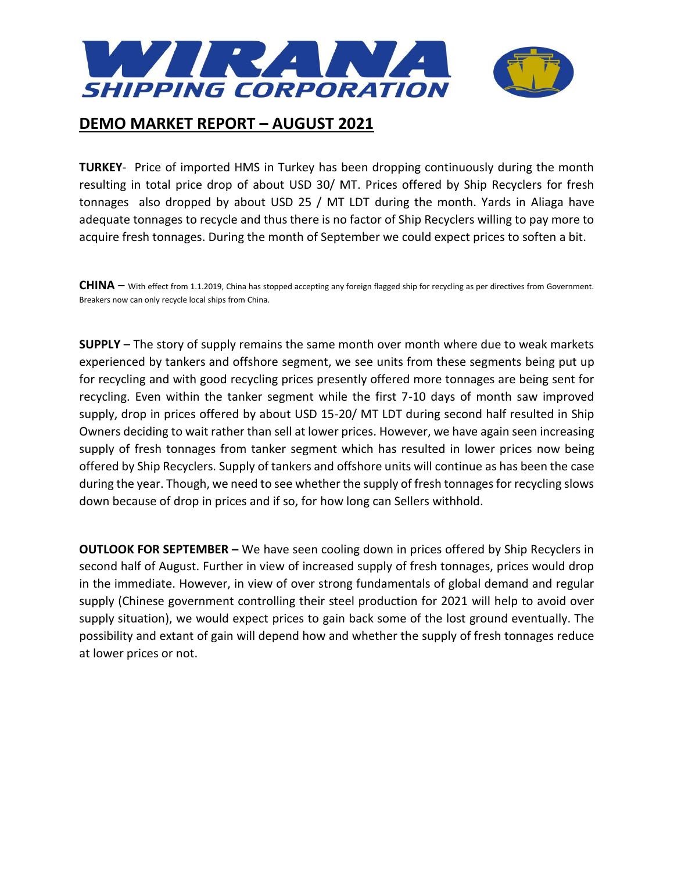

**TURKEY**- Price of imported HMS in Turkey has been dropping continuously during the month resulting in total price drop of about USD 30/ MT. Prices offered by Ship Recyclers for fresh tonnages also dropped by about USD 25 / MT LDT during the month. Yards in Aliaga have adequate tonnages to recycle and thus there is no factor of Ship Recyclers willing to pay more to acquire fresh tonnages. During the month of September we could expect prices to soften a bit.

**CHINA** – With effect from 1.1.2019, China has stopped accepting any foreign flagged ship for recycling as per directives from Government. Breakers now can only recycle local ships from China.

**SUPPLY** – The story of supply remains the same month over month where due to weak markets experienced by tankers and offshore segment, we see units from these segments being put up for recycling and with good recycling prices presently offered more tonnages are being sent for recycling. Even within the tanker segment while the first 7-10 days of month saw improved supply, drop in prices offered by about USD 15-20/ MT LDT during second half resulted in Ship Owners deciding to wait rather than sell at lower prices. However, we have again seen increasing supply of fresh tonnages from tanker segment which has resulted in lower prices now being offered by Ship Recyclers. Supply of tankers and offshore units will continue as has been the case during the year. Though, we need to see whether the supply of fresh tonnages for recycling slows down because of drop in prices and if so, for how long can Sellers withhold.

**OUTLOOK FOR SEPTEMBER –** We have seen cooling down in prices offered by Ship Recyclers in second half of August. Further in view of increased supply of fresh tonnages, prices would drop in the immediate. However, in view of over strong fundamentals of global demand and regular supply (Chinese government controlling their steel production for 2021 will help to avoid over supply situation), we would expect prices to gain back some of the lost ground eventually. The possibility and extant of gain will depend how and whether the supply of fresh tonnages reduce at lower prices or not.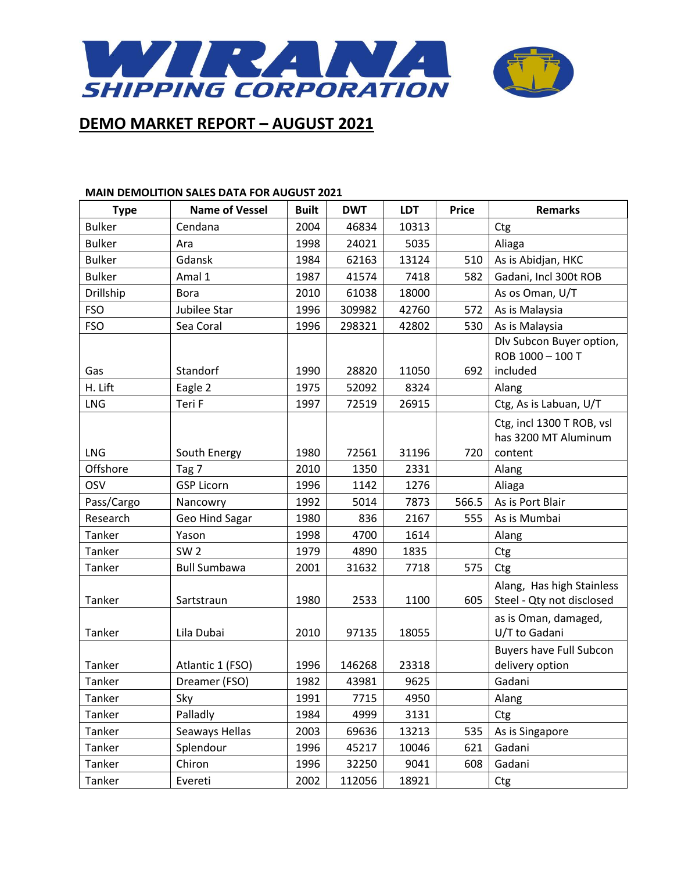

#### **MAIN DEMOLITION SALES DATA FOR AUGUST 2021**

| <b>Type</b>            | <b>Name of Vessel</b>      | <b>Built</b> | <b>DWT</b>   | <b>LDT</b>    | <b>Price</b> | <b>Remarks</b>                                         |
|------------------------|----------------------------|--------------|--------------|---------------|--------------|--------------------------------------------------------|
| <b>Bulker</b>          | Cendana                    | 2004         | 46834        | 10313         |              | Ctg                                                    |
| <b>Bulker</b>          | Ara                        | 1998         | 24021        | 5035          |              | Aliaga                                                 |
| <b>Bulker</b>          | Gdansk                     | 1984         | 62163        | 13124         | 510          | As is Abidjan, HKC                                     |
| <b>Bulker</b>          | Amal 1                     | 1987         | 41574        | 7418          | 582          | Gadani, Incl 300t ROB                                  |
| Drillship              | <b>Bora</b>                | 2010         | 61038        | 18000         |              | As os Oman, U/T                                        |
| <b>FSO</b>             | Jubilee Star               | 1996         | 309982       | 42760         | 572          | As is Malaysia                                         |
| <b>FSO</b>             | Sea Coral                  | 1996         | 298321       | 42802         | 530          | As is Malaysia                                         |
|                        |                            |              |              |               |              | Dlv Subcon Buyer option,                               |
|                        |                            |              |              |               |              | ROB 1000 - 100 T                                       |
| Gas                    | Standorf                   | 1990         | 28820        | 11050         | 692          | included                                               |
| H. Lift                | Eagle 2                    | 1975         | 52092        | 8324          |              | Alang                                                  |
| <b>LNG</b>             | Teri F                     | 1997         | 72519        | 26915         |              | Ctg, As is Labuan, U/T                                 |
|                        |                            |              |              |               |              | Ctg, incl 1300 T ROB, vsl                              |
| <b>LNG</b>             |                            |              |              |               |              | has 3200 MT Aluminum                                   |
| Offshore               | South Energy               | 1980<br>2010 | 72561        | 31196<br>2331 | 720          | content                                                |
| OSV                    | Tag 7<br><b>GSP Licorn</b> | 1996         | 1350<br>1142 | 1276          |              | Alang                                                  |
|                        |                            |              |              |               |              | Aliaga                                                 |
| Pass/Cargo<br>Research | Nancowry                   | 1992         | 5014<br>836  | 7873<br>2167  | 566.5        | As is Port Blair                                       |
|                        | Geo Hind Sagar             | 1980         |              |               | 555          | As is Mumbai                                           |
| Tanker<br>Tanker       | Yason<br>SW <sub>2</sub>   | 1998<br>1979 | 4700         | 1614          |              | Alang                                                  |
|                        |                            |              | 4890         | 1835          |              | Ctg                                                    |
| Tanker                 | <b>Bull Sumbawa</b>        | 2001         | 31632        | 7718          | 575          | Ctg                                                    |
| Tanker                 | Sartstraun                 | 1980         | 2533         | 1100          | 605          | Alang, Has high Stainless<br>Steel - Qty not disclosed |
|                        |                            |              |              |               |              | as is Oman, damaged,                                   |
| Tanker                 | Lila Dubai                 | 2010         | 97135        | 18055         |              | U/T to Gadani                                          |
|                        |                            |              |              |               |              | <b>Buyers have Full Subcon</b>                         |
| Tanker                 | Atlantic 1 (FSO)           | 1996         | 146268       | 23318         |              | delivery option                                        |
| Tanker                 | Dreamer (FSO)              | 1982         | 43981        | 9625          |              | Gadani                                                 |
| Tanker                 | Sky                        | 1991         | 7715         | 4950          |              | Alang                                                  |
| Tanker                 | Palladly                   | 1984         | 4999         | 3131          |              | Ctg                                                    |
| Tanker                 | Seaways Hellas             | 2003         | 69636        | 13213         | 535          | As is Singapore                                        |
| Tanker                 | Splendour                  | 1996         | 45217        | 10046         | 621          | Gadani                                                 |
| Tanker                 | Chiron                     | 1996         | 32250        | 9041          | 608          | Gadani                                                 |
| Tanker                 | Evereti                    | 2002         | 112056       | 18921         |              | Ctg                                                    |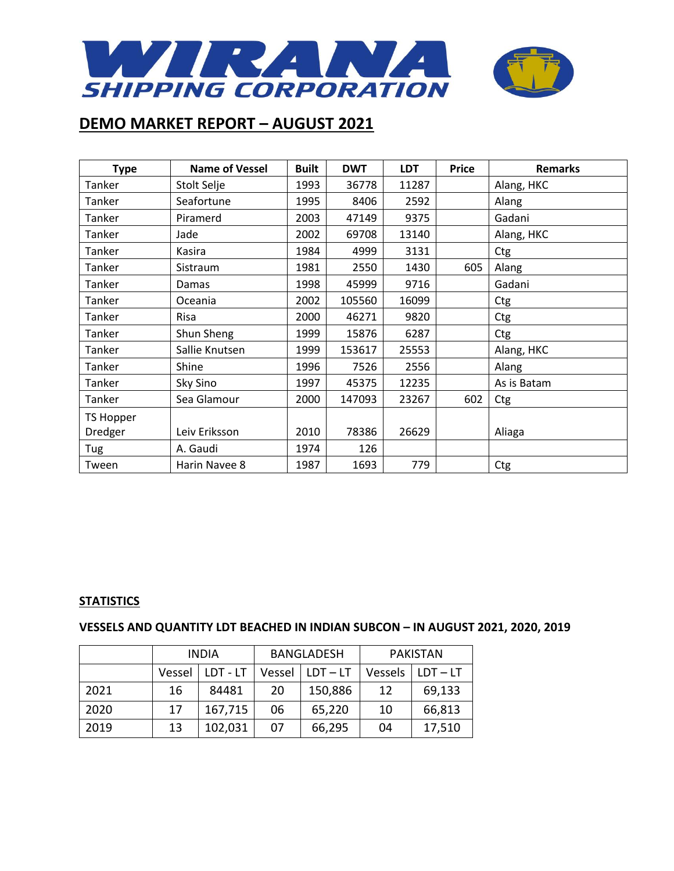

| <b>Type</b> | <b>Name of Vessel</b> | <b>Built</b> | <b>DWT</b> | <b>LDT</b> | <b>Price</b> | <b>Remarks</b> |
|-------------|-----------------------|--------------|------------|------------|--------------|----------------|
| Tanker      | Stolt Selje           | 1993         | 36778      | 11287      |              | Alang, HKC     |
| Tanker      | Seafortune            | 1995         | 8406       | 2592       |              | Alang          |
| Tanker      | Piramerd              | 2003         | 47149      | 9375       |              | Gadani         |
| Tanker      | Jade                  | 2002         | 69708      | 13140      |              | Alang, HKC     |
| Tanker      | Kasira                | 1984         | 4999       | 3131       |              | Ctg            |
| Tanker      | Sistraum              | 1981         | 2550       | 1430       | 605          | Alang          |
| Tanker      | Damas                 | 1998         | 45999      | 9716       |              | Gadani         |
| Tanker      | Oceania               | 2002         | 105560     | 16099      |              | Ctg            |
| Tanker      | Risa                  | 2000         | 46271      | 9820       |              | Ctg            |
| Tanker      | Shun Sheng            | 1999         | 15876      | 6287       |              | Ctg            |
| Tanker      | Sallie Knutsen        | 1999         | 153617     | 25553      |              | Alang, HKC     |
| Tanker      | Shine                 | 1996         | 7526       | 2556       |              | Alang          |
| Tanker      | Sky Sino              | 1997         | 45375      | 12235      |              | As is Batam    |
| Tanker      | Sea Glamour           | 2000         | 147093     | 23267      | 602          | Ctg            |
| TS Hopper   |                       |              |            |            |              |                |
| Dredger     | Leiv Eriksson         | 2010         | 78386      | 26629      |              | Aliaga         |
| Tug         | A. Gaudi              | 1974         | 126        |            |              |                |
| Tween       | Harin Navee 8         | 1987         | 1693       | 779        |              | Ctg            |

### **STATISTICS**

### **VESSELS AND QUANTITY LDT BEACHED IN INDIAN SUBCON – IN AUGUST 2021, 2020, 2019**

|      | <b>INDIA</b> |          | <b>BANGLADESH</b> |            | <b>PAKISTAN</b> |            |
|------|--------------|----------|-------------------|------------|-----------------|------------|
|      | Vessel       | LDT - LT | Vessel            | $LDT - LT$ | Vessels         | $LDT - LT$ |
| 2021 | 16           | 84481    | 20                | 150,886    | 12              | 69,133     |
| 2020 | 17           | 167,715  | 06                | 65,220     | 10              | 66,813     |
| 2019 | 13           | 102,031  | 07                | 66,295     | 04              | 17,510     |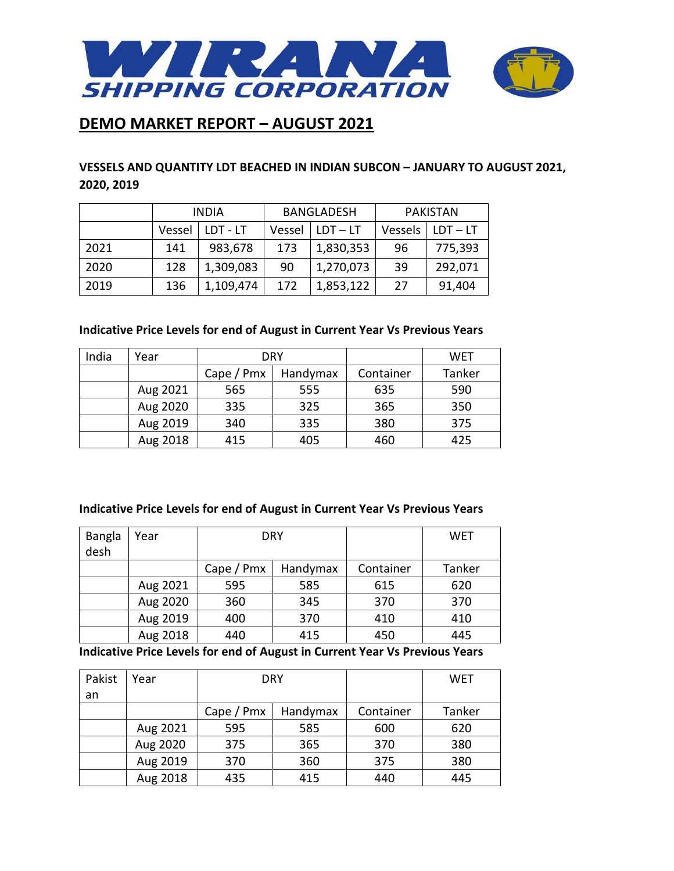

### **VESSELS AND QUANTITY LDT BEACHED IN INDIAN SUBCON – JANUARY TO AUGUST 2021, 2020, 2019**

|      | <b>INDIA</b> |           | <b>BANGLADESH</b> |            | <b>PAKISTAN</b> |            |
|------|--------------|-----------|-------------------|------------|-----------------|------------|
|      | Vessel       | LDT - LT  | Vessel            | $LDT - LT$ | Vessels         | $LDT - LT$ |
| 2021 | 141          | 983,678   | 173               | 1,830,353  | 96              | 775,393    |
| 2020 | 128          | 1,309,083 | 90                | 1,270,073  | 39              | 292,071    |
| 2019 | 136          | 1,109,474 | 172               | 1,853,122  | 27              | 91,404     |

### **Indicative Price Levels for end of August in Current Year Vs Previous Years**

| India | Year     | DRY             |          |           | <b>WET</b> |
|-------|----------|-----------------|----------|-----------|------------|
|       |          | Cape $/$ Pm $x$ | Handymax | Container | Tanker     |
|       | Aug 2021 | 565             | 555      | 635       | 590        |
|       | Aug 2020 | 335             | 325      | 365       | 350        |
|       | Aug 2019 | 340             | 335      | 380       | 375        |
|       | Aug 2018 | 415             | 405      | 460       | 425        |

#### **Indicative Price Levels for end of August in Current Year Vs Previous Years**

| <b>Bangla</b><br>desh | Year     |                 | <b>DRY</b> |           | WET    |
|-----------------------|----------|-----------------|------------|-----------|--------|
|                       |          | Cape $/$ Pm $x$ | Handymax   | Container | Tanker |
|                       | Aug 2021 | 595             | 585        | 615       | 620    |
|                       | Aug 2020 | 360             | 345        | 370       | 370    |
|                       | Aug 2019 | 400             | 370        | 410       | 410    |
|                       | Aug 2018 | 440             | 415        | 450       | 445    |

**Indicative Price Levels for end of August in Current Year Vs Previous Years**

| Pakist | Year     |                 | <b>DRY</b> |           | WET    |
|--------|----------|-----------------|------------|-----------|--------|
| an     |          |                 |            |           |        |
|        |          | Cape $/$ Pm $x$ | Handymax   | Container | Tanker |
|        | Aug 2021 | 595             | 585        | 600       | 620    |
|        | Aug 2020 | 375             | 365        | 370       | 380    |
|        | Aug 2019 | 370             | 360        | 375       | 380    |
|        | Aug 2018 | 435             | 415        | 440       | 445    |